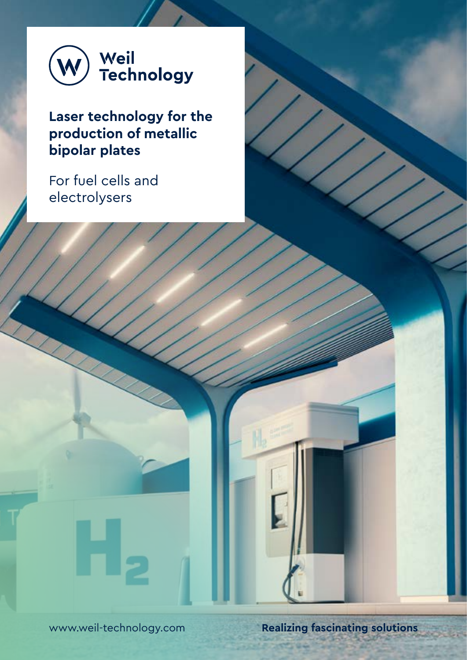

**Laser technology for the production of metallic bipolar plates**

For fuel cells and electrolysers

www.weil-technology.com **Realizing fascinating solutions**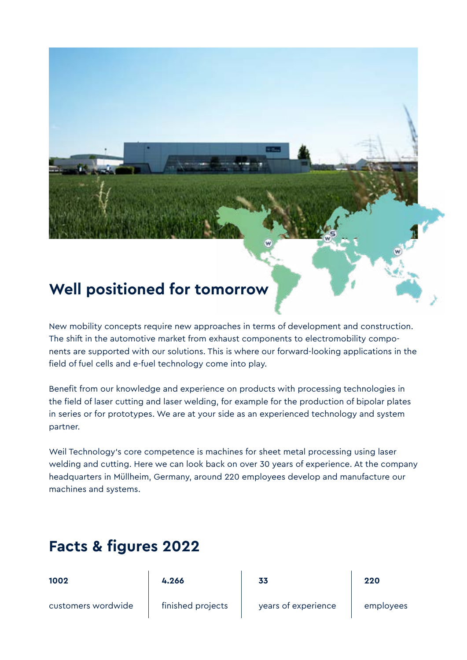# **Well positioned for tomorrow**

New mobility concepts require new approaches in terms of development and construction. The shift in the automotive market from exhaust components to electromobility components are supported with our solutions. This is where our forward-looking applications in the field of fuel cells and e-fuel technology come into play.

Benefit from our knowledge and experience on products with processing technologies in the field of laser cutting and laser welding, for example for the production of bipolar plates in series or for prototypes. We are at your side as an experienced technology and system partner.

Weil Technology's core competence is machines for sheet metal processing using laser welding and cutting. Here we can look back on over 30 years of experience. At the company headquarters in Müllheim, Germany, around 220 employees develop and manufacture our machines and systems.

### **Facts & figures 2022**

| 1002               | 4.266             | 33                  | 220       |
|--------------------|-------------------|---------------------|-----------|
| customers wordwide | finished projects | years of experience | employees |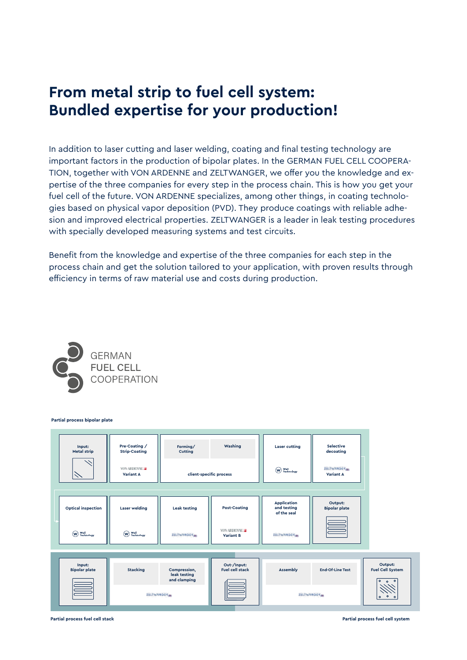## **From metal strip to fuel cell system: Bundled expertise for your production!**

In addition to laser cutting and laser welding, coating and final testing technology are important factors in the production of bipolar plates. In the GERMAN FUEL CELL COOPERA-TION, together with VON ARDENNE and ZELTWANGER, we offer you the knowledge and expertise of the three companies for every step in the process chain. This is how you get your fuel cell of the future. VON ARDENNE specializes, among other things, in coating technologies based on physical vapor deposition (PVD). They produce coatings with reliable adhesion and improved electrical properties. ZELTWANGER is a leader in leak testing procedures with specially developed measuring systems and test circuits.

Benefit from the knowledge and expertise of the three companies for each step in the process chain and get the solution tailored to your application, with proven results through efficiency in terms of raw material use and costs during production.



#### **Partial process bipolar plate**

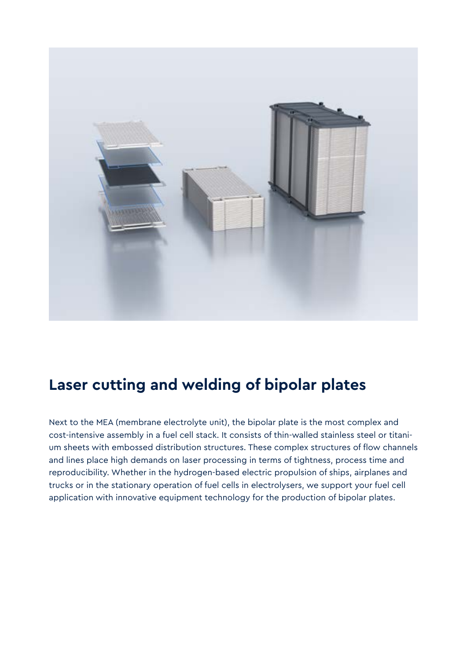

# **Laser cutting and welding of bipolar plates**

Next to the MEA (membrane electrolyte unit), the bipolar plate is the most complex and cost-intensive assembly in a fuel cell stack. It consists of thin-walled stainless steel or titanium sheets with embossed distribution structures. These complex structures of flow channels and lines place high demands on laser processing in terms of tightness, process time and reproducibility. Whether in the hydrogen-based electric propulsion of ships, airplanes and trucks or in the stationary operation of fuel cells in electrolysers, we support your fuel cell application with innovative equipment technology for the production of bipolar plates.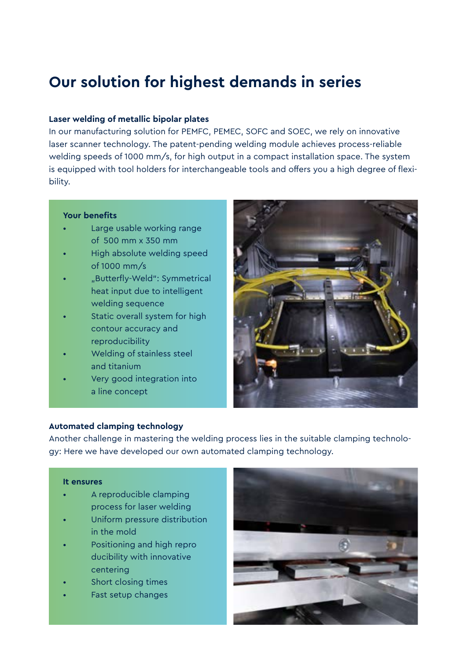# **Our solution for highest demands in series**

### **Laser welding of metallic bipolar plates**

In our manufacturing solution for PEMFC, PEMEC, SOFC and SOEC, we rely on innovative laser scanner technology. The patent-pending welding module achieves process-reliable welding speeds of 1000 mm/s, for high output in a compact installation space. The system is equipped with tool holders for interchangeable tools and offers you a high degree of flexibility.

#### **Your benefits**

- Large usable working range of 500 mm x 350 mm
- High absolute welding speed of 1000 mm/s
- "Butterfly-Weld": Symmetrical heat input due to intelligent welding sequence
- Static overall system for high contour accuracy and reproducibility
- Welding of stainless steel and titanium
- Very good integration into a line concept



#### **Automated clamping technology**

Another challenge in mastering the welding process lies in the suitable clamping technology: Here we have developed our own automated clamping technology.

#### **It ensures**

- A reproducible clamping process for laser welding
- Uniform pressure distribution in the mold
- Positioning and high repro ducibility with innovative centering
- Short closing times
- Fast setup changes

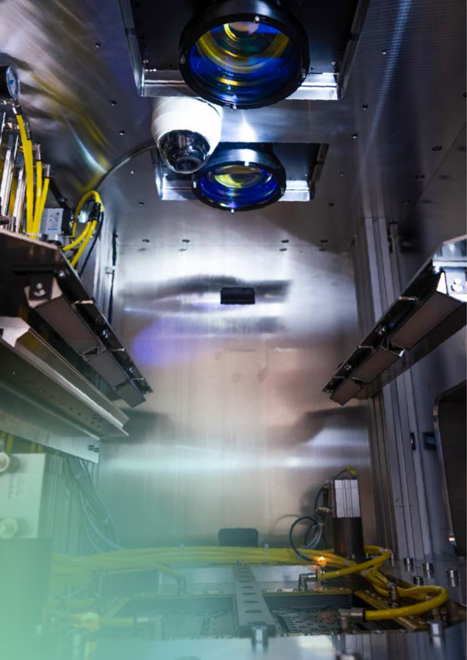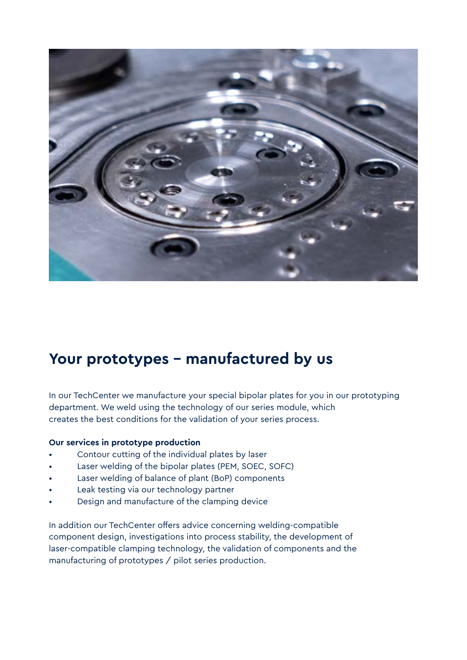

# **Your prototypes – manufactured by us**

In our TechCenter we manufacture your special bipolar plates for you in our prototyping department. We weld using the technology of our series module, which creates the best conditions for the validation of your series process.

#### **Our services in prototype production**

- Contour cutting of the individual plates by laser
- Laser welding of the bipolar plates (PEM, SOEC, SOFC)
- Laser welding of balance of plant (BoP) components
- Leak testing via our technology partner
- Design and manufacture of the clamping device

In addition our TechCenter offers advice concerning welding-compatible component design, investigations into process stability, the development of laser-compatible clamping technology, the validation of components and the manufacturing of prototypes / pilot series production.